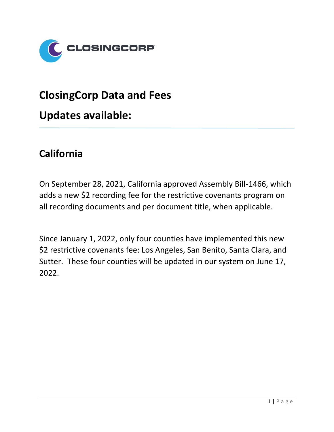

# **ClosingCorp Data and Fees**

**Updates available:**

### **California**

On September 28, 2021, California approved Assembly Bill-1466, which adds a new \$2 recording fee for the restrictive covenants program on all recording documents and per document title, when applicable.

Since January 1, 2022, only four counties have implemented this new \$2 restrictive covenants fee: Los Angeles, San Benito, Santa Clara, and Sutter. These four counties will be updated in our system on June 17, 2022.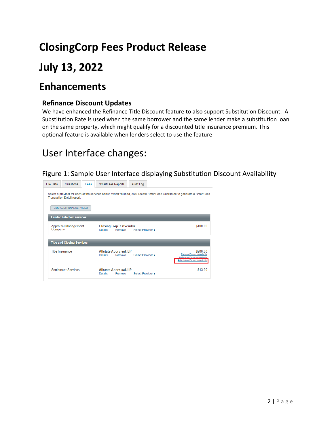# **ClosingCorp Fees Product Release**

## **July 13, 2022**

### **Enhancements**

#### **Refinance Discount Updates**

We have enhanced the Refinance Title Discount feature to also support Substitution Discount. A Substitution Rate is used when the same borrower and the same lender make a substitution loan on the same property, which might qualify for a discounted title insurance premium. This optional feature is available when lenders select to use the feature

## User Interface changes:

#### Figure 1: Sample User Interface displaying Substitution Discount Availability

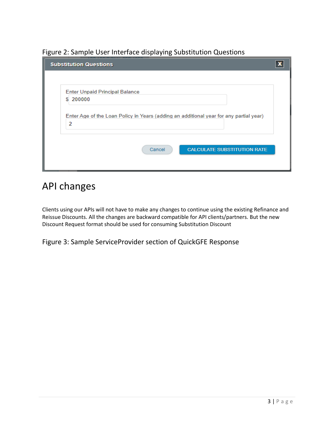Figure 2: Sample User Interface displaying Substitution Questions

| <b>Substitution Questions</b>                                                          |  |
|----------------------------------------------------------------------------------------|--|
|                                                                                        |  |
| <b>Enter Unpaid Principal Balance</b>                                                  |  |
| \$200000                                                                               |  |
| Enter Age of the Loan Policy in Years (adding an additional year for any partial year) |  |
| 2                                                                                      |  |
|                                                                                        |  |
| <b>CALCULATE SUBSTITUTION RATE</b><br>Cancel                                           |  |
|                                                                                        |  |
|                                                                                        |  |

## API changes

Clients using our APIs will not have to make any changes to continue using the existing Refinance and Reissue Discounts. All the changes are backward compatible for API clients/partners. But the new Discount Request format should be used for consuming Substitution Discount

Figure 3: Sample ServiceProvider section of QuickGFE Response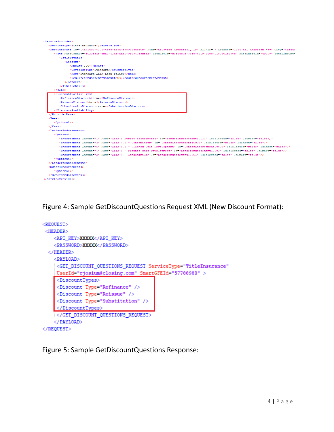| <serviceprovider></serviceprovider>                                                                                                                                                                                                                                                                                                                              |
|------------------------------------------------------------------------------------------------------------------------------------------------------------------------------------------------------------------------------------------------------------------------------------------------------------------------------------------------------------------|
| <servicetvpe>TitleInsurance</servicetvpe>                                                                                                                                                                                                                                                                                                                        |
| <providerrate address="1234 All American Way" altaid="" city="Chicao&lt;/td&gt;&lt;/tr&gt;&lt;tr&gt;&lt;td&gt;&lt;Rate RateCardId=" e028efae-dba2-42bb-adb6-0180401afedb"="" id="14d91496-6202-4baf-ab3a-e99091fdcd0b" name="Allstate Appraisal, LP" productid="d6f4cb7b-35ed-4819-958b-0180401b588c" ratesheetid="49208" td="" totalamount-<=""></providerrate> |
| <titledetails></titledetails>                                                                                                                                                                                                                                                                                                                                    |
| <lenders></lenders>                                                                                                                                                                                                                                                                                                                                              |
| <amount>200</amount>                                                                                                                                                                                                                                                                                                                                             |
| <coveragetype>Standard</coveragetype>                                                                                                                                                                                                                                                                                                                            |
| <name>Standard-ALTA Loan Policy</name>                                                                                                                                                                                                                                                                                                                           |
| <requiredendorsementamount>0</requiredendorsementamount>                                                                                                                                                                                                                                                                                                         |
|                                                                                                                                                                                                                                                                                                                                                                  |
|                                                                                                                                                                                                                                                                                                                                                                  |
| $\langle$ /Rate>                                                                                                                                                                                                                                                                                                                                                 |
| <discountavailability></discountavailability>                                                                                                                                                                                                                                                                                                                    |
| <refinancediscount>true</refinancediscount>                                                                                                                                                                                                                                                                                                                      |
| <reissuediscount>true</reissuediscount>                                                                                                                                                                                                                                                                                                                          |
| <substitutiondiscount>true</substitutiondiscount>                                                                                                                                                                                                                                                                                                                |
|                                                                                                                                                                                                                                                                                                                                                                  |
|                                                                                                                                                                                                                                                                                                                                                                  |
| $Fees$                                                                                                                                                                                                                                                                                                                                                           |
| <optional></optional>                                                                                                                                                                                                                                                                                                                                            |
| $\langle$ /Fees>                                                                                                                                                                                                                                                                                                                                                 |
| <lendersendorsements></lendersendorsements>                                                                                                                                                                                                                                                                                                                      |
| <optional></optional>                                                                                                                                                                                                                                                                                                                                            |
| <endorsement amount="1" id="LenderEndorsement10123" isselected="false" issmart="false" name="ALTA 1 Street Assessments"></endorsement>                                                                                                                                                                                                                           |
| <endorsement amount="3" id="LenderEndorsement10002" isselected="false" issmart="false" name="ALTA 4.1 - Condominium"></endorsement>                                                                                                                                                                                                                              |
| <endorsement amount="5" id="LenderEndorsement10004" isselected="false" issmart="false" name="ALTA 5.1 - Planned Unit Development"></endorsement>                                                                                                                                                                                                                 |
| <endorsement amount="4" id="LenderEndorsement10003" isselected="false" issmart="false" name="ALTA 5 - Planned Unit Development"></endorsement>                                                                                                                                                                                                                   |
| <endorsement amount="2" id="LenderEndorsement10001" isselected="false" issmart="false" name="ALTA 4 - Condominium"></endorsement>                                                                                                                                                                                                                                |
|                                                                                                                                                                                                                                                                                                                                                                  |
|                                                                                                                                                                                                                                                                                                                                                                  |
| <ownersendorsements></ownersendorsements>                                                                                                                                                                                                                                                                                                                        |
| <optional></optional>                                                                                                                                                                                                                                                                                                                                            |
| $\langle$ /OunersEndorsements>                                                                                                                                                                                                                                                                                                                                   |
|                                                                                                                                                                                                                                                                                                                                                                  |

Figure 4: Sample GetDiscountQuestions Request XML (New Discount Format):

```
<REQUEST>
 <HEADER><API KEY>XXXXX</API KEY>
   <PASSWORD>XXXXX</PASSWORD>
  </HEADER>
   <PAYLOAD>
    <GET_DISCOUNT_QUESTIONS_REQUEST ServiceType="TitleInsurance"
    UserId="rjosium@closing.com" SmartGFEId="57788980" >
    <DiscountTypes>
    <Discount Type="Refinance" />
    <Discount Type="Reissue" />
    <Discount Type="Substitution" />
    </DiscountTypes>
    </GET_DISCOUNT_QUESTIONS_REQUEST>
    </PAYLOAD>
\langle/REQUEST>
```
Figure 5: Sample GetDiscountQuestions Response: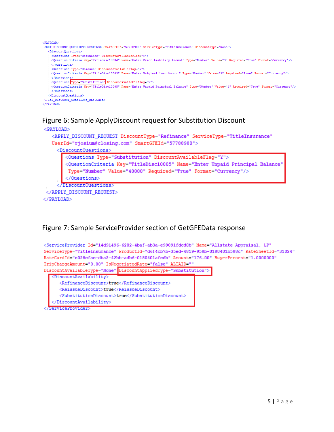



#### Figure 7: Sample ServiceProvider section of GetGFEData response